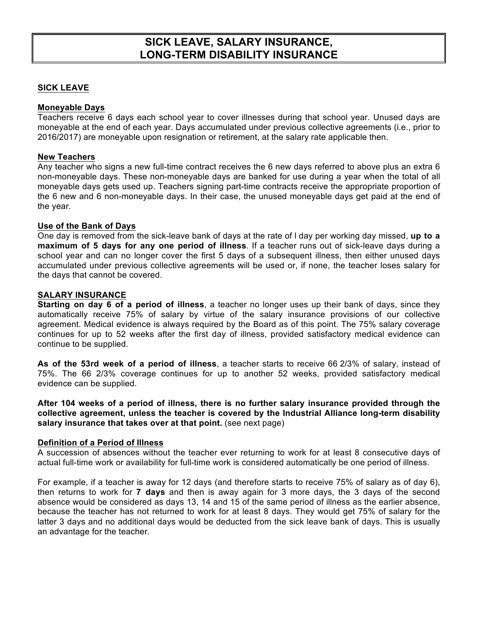# **SICK LEAVE, SALARY INSURANCE, LONG-TERM DISABILITY INSURANCE**

# **SICK LEAVE**

## **Moneyable Days**

Teachers receive 6 days each school year to cover illnesses during that school year. Unused days are moneyable at the end of each year. Days accumulated under previous collective agreements (i.e., prior to 2016/2017) are moneyable upon resignation or retirement, at the salary rate applicable then.

#### **New Teachers**

Any teacher who signs a new full-time contract receives the 6 new days referred to above plus an extra 6 non-moneyable days. These non-moneyable days are banked for use during a year when the total of all moneyable days gets used up. Teachers signing part-time contracts receive the appropriate proportion of the 6 new and 6 non-moneyable days. In their case, the unused moneyable days get paid at the end of the year.

#### **Use of the Bank of Days**

One day is removed from the sick-leave bank of days at the rate of l day per working day missed, **up to a maximum of 5 days for any one period of illness**. If a teacher runs out of sick-leave days during a school year and can no longer cover the first 5 days of a subsequent illness, then either unused days accumulated under previous collective agreements will be used or, if none, the teacher loses salary for the days that cannot be covered.

#### **SALARY INSURANCE**

**Starting on day 6 of a period of illness**, a teacher no longer uses up their bank of days, since they automatically receive 75% of salary by virtue of the salary insurance provisions of our collective agreement. Medical evidence is always required by the Board as of this point. The 75% salary coverage continues for up to 52 weeks after the first day of illness, provided satisfactory medical evidence can continue to be supplied.

**As of the 53rd week of a period of illness**, a teacher starts to receive 66 2/3% of salary, instead of 75%. The 66 2/3% coverage continues for up to another 52 weeks, provided satisfactory medical evidence can be supplied.

**After 104 weeks of a period of illness, there is no further salary insurance provided through the collective agreement, unless the teacher is covered by the Industrial Alliance long-term disability salary insurance that takes over at that point.** (see next page)

#### **Definition of a Period of Illness**

A succession of absences without the teacher ever returning to work for at least 8 consecutive days of actual full-time work or availability for full-time work is considered automatically be one period of illness.

For example, if a teacher is away for 12 days (and therefore starts to receive 75% of salary as of day 6), then returns to work for **7 days** and then is away again for 3 more days, the 3 days of the second absence would be considered as days 13, 14 and 15 of the same period of illness as the earlier absence, because the teacher has not returned to work for at least 8 days. They would get 75% of salary for the latter 3 days and no additional days would be deducted from the sick leave bank of days. This is usually an advantage for the teacher.